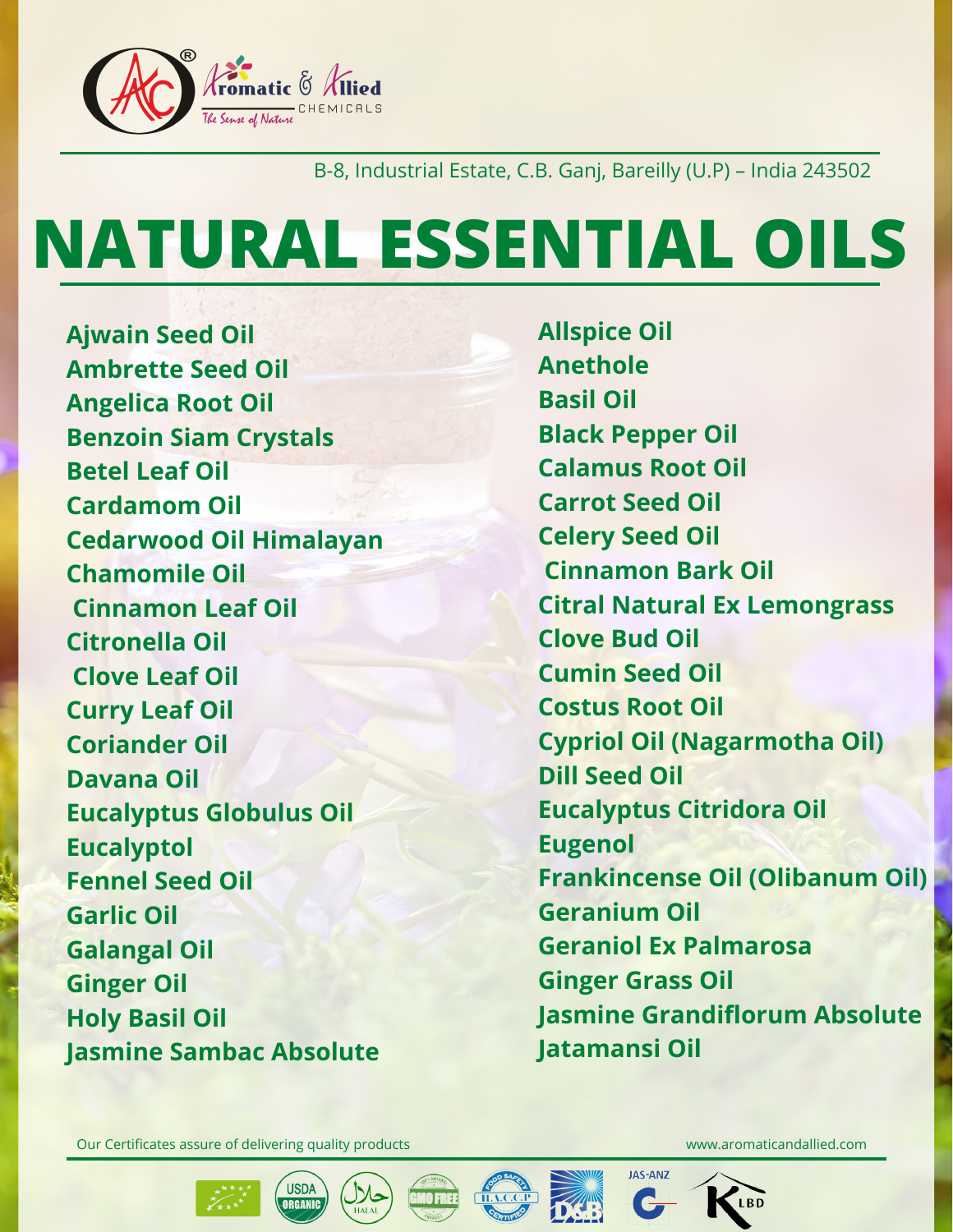

## B-8, Industrial Estate, C.B. Ganj, Bareilly (U.P) – India 243502

Our Certificates assure of delivering quality products www.aromaticandallied.com







**JAS-ANZ** 

# **NATURAL ESSENTIAL OILS**

**Ajwain Seed Oil Ambrette Seed Oil Angelica Root Oil Benzoin Siam Crystals Betel Leaf Oil Cardamom Oil Cedarwood Oil Himalayan Chamomile Oil Cinnamon Leaf Oil Citronella Oil Clove Leaf Oil Curry Leaf Oil Coriander Oil Davana Oil Eucalyptus Globulus Oil Eucalyptol Fennel Seed Oil Garlic Oil Galangal Oil Ginger Oil Holy Basil Oil Jasmine Sambac Absolute**

**Allspice Oil Anethole Basil Oil Black Pepper Oil Calamus Root Oil Carrot Seed Oil Celery Seed Oil Cinnamon Bark Oil Citral Natural Ex Lemongrass Clove Bud Oil Cumin Seed Oil Costus Root Oil Cypriol Oil (Nagarmotha Oil) Dill Seed Oil Eucalyptus Citridora Oil Eugenol Frankincense Oil (Olibanum Oil) Geranium Oil Geraniol Ex Palmarosa Ginger Grass Oil Jasmine Grandiflorum Absolute Jatamansi Oil**